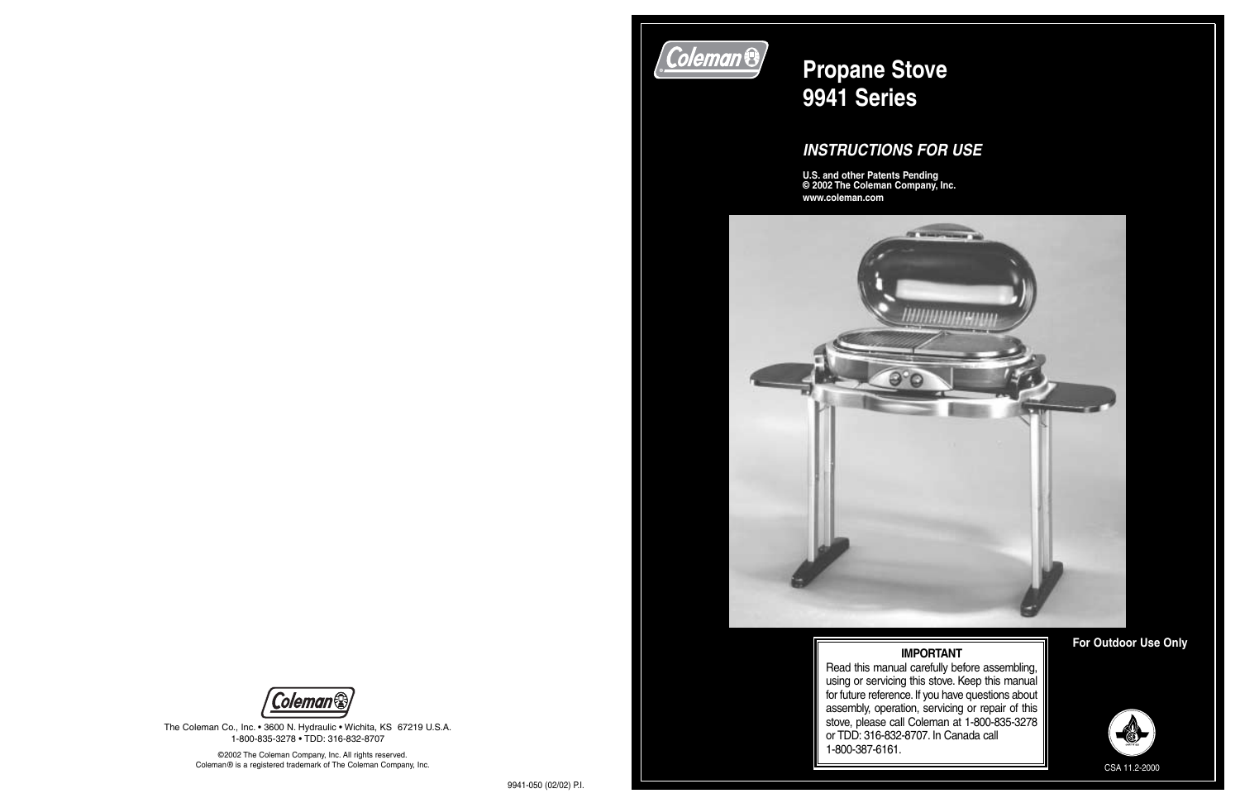The Coleman Co., Inc. • 3600 N. Hydraulic • Wichita, KS 67219 U.S.A. 1-800-835-3278 • TDD: 316-832-8707

# **Coleman &**

# **Propane Stove 9941 Series**

### *INSTRUCTIONS FOR USE*

**U.S. and other Patents Pending © 2002 The Coleman Company, Inc. www.coleman.com**



**For Outdoor Use Only IMPORTANT**



©2002 The Coleman Company, Inc. All rights reserved. Coleman® is a registered trademark of The Coleman Company, Inc.

 Read this manual carefully before assembling, using or servicing this stove. Keep this manual for future reference.If you have questions about assembly, operation, servicing or repair of this stove, please call Coleman at 1-800-835-3278 or TDD: 316-832-8707. In Canada call 1-800-387-6161.



CSA 11.2-2000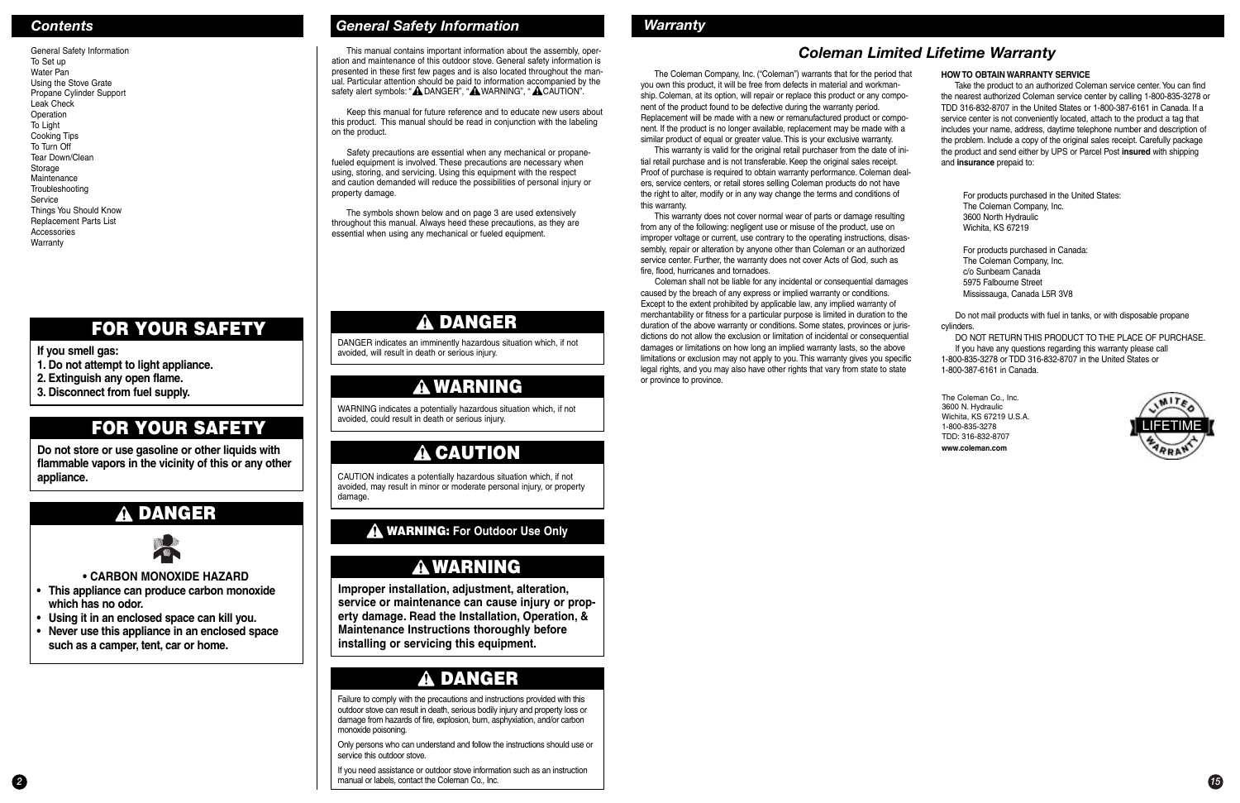### *Contents General Safety Information*

General Safety Information To Set up Water PanUsing the Stove Grate Propane Cylinder Support Leak CheckOperation To Light Cooking Tips To Turn Off Tear Down/CleanStorage Maintenance**Troubleshooting Service** Things You Should Know Replacement Parts List AccessoriesWarranty

## **DANGER**

# **ASSESS**

**• CARBON MONOXIDE HAZARD**

This manual contains important information about the assembly, operation and maintenance of this outdoor stove. General safety information is presented in these first few pages and is also located throughout the manual. Particular attention should be paid to information accompanied by the safety alert symbols: "A DANGER", "A WARNING", "A CAUTION".

- **• This appliance can produce carbon monoxide which has no odor.**
- **• Using it in an enclosed space can kill you.**
- **• N ever use this appliance in an enclosed space such as a camper, tent, car or home.**

**If you smell gas:**

- **1. Do not attempt to light appliance.**
- **2. Extinguish any open flame.**
- **3. Disconnect from fuel supply.**

### **FOR YOUR SAFETY**

**Do not store or use gasoline or other liquids with flammable vapors in the vicinity of this or any other appliance.**

### **FOR YOUR SAFETY**

Keep this manual for future reference and to educate new users about this product. This manual should be read in conjunction with the labeling on the product.

**2 15** manual or labels, contact the Coleman Co., Inc. **15** manual or labels, contact the Coleman Co., Inc. If you need assistance or outdoor stove information such as an instruction

Safety precautions are essential when any mechanical or propanefueled equipment is involved. These precautions are necessary when using, storing, and servicing. Using this equipment with the respect and caution demanded will reduce the possibilities of personal injury or property damage.

The Coleman Company, Inc. ("Coleman") warrants that for the period that you own this product, it will be free from defects in material and workmanship. Coleman, at its option, will repair or replace this product or any component of the product found to be defective during the warranty period. Replacement will be made with a new or remanufactured product or component. If the product is no longer available, replacement may be made with a similar product of equal or greater value. This is your exclusive warranty.

The symbols shown below and on page 3 are used extensively throughout this manual. Always heed these precautions, as they are essential when using any mechanical or fueled equipment.

### **DANGER**

DANGER indicates an imminently hazardous situation which, if not avoided, will result in death or serious injury.

## **WARNING**

WARNING indicates a potentially hazardous situation which, if not avoided, could result in death or serious injury.

## **CAUTION**

CAUTION indicates a potentially hazardous situation which, if not avoided, may result in minor or moderate personal injury, or property damage.

Failure to comply with the precautions and instructions provided with this outdoor stove can result in death, serious bodily injury and property loss or damage from hazards of fire, explosion, burn, asphyxiation, and/or carbon monoxide poisoning.

Only persons who can understand and follow the instructions should use or service this outdoor stove.

## **DANGER**

Take the product to an authorized Coleman service center. You can find the nearest authorized Coleman service center by calling 1-800-835-3278 or TDD 316-832-8707 in the United States or 1-800-387-6161 in Canada. If aservice center is not conveniently located, attach to the product a tag that includes your name, address, daytime telephone number and description of the problem. Include a copy of the original sales receipt. Carefully package the product and send either by UPS or Parcel Post **insured** with shipping and **insurance** prepaid to:

**Improper installation, adjustment, alteration, service or maintenance can cause injury or property damage. Read the Installation, Operation, & Maintenance Instructions thoroughly before installing or servicing this equipment.**

### **WARNING**

### **WARNING: For Outdoor Use Only**

### *Warranty*

### *Coleman Limited Lifetime Warranty*

This warranty is valid for the original retail purchaser from the date of initial retail purchase and is not transferable. Keep the original sales receipt. Proof of purchase is required to obtain warranty performance. Coleman dealers, service centers, or retail stores selling Coleman products do not have the right to alter, modify or in any way change the terms and conditions of this warranty.

This warranty does not cover normal wear of parts or damage resulting from any of the following: negligent use or misuse of the product, use on improper voltage or current, use contrary to the operating instructions, disassembly, repair or alteration by anyone other than Coleman or an authorized service center. Further, the warranty does not cover Acts of God, such as fire, flood, hurricanes and tornadoes.

Coleman shall not be liable for any incidental or consequential damages caused by the breach of any express or implied warranty or conditions. Except to the extent prohibited by applicable law, any implied warranty of merchantability or fitness for a particular purpose is limited in duration to the duration of the above warranty or conditions. Some states, provinces or jurisdictions do not allow the exclusion or limitation of incidental or consequential damages or limitations on how long an implied warranty lasts, so the above limitations or exclusion may not apply to you. This warranty gives you specific legal rights, and you may also have other rights that vary from state to state or province to province.



#### **HOW TO OBTAIN WARRANTY SERVICE**

For products purchased in the United States: The Coleman Company, Inc. 3600 North Hydraulic Wichita, KS 67219

For products purchased in Canada: The Coleman Company, Inc. c/o Sunbeam Canada5975 Falbourne StreetMississauga, Canada L5R 3V8

Do not mail products with fuel in tanks, or with disposable propane cylinders.

DO NOT RETURN THIS PRODUCT TO THE PLACE OF PURCHASE.If you have any questions regarding this warranty please call 1-800-835-3278 or TDD 316-832-8707 in the United States or

1-800-387-6161 in Canada.

The Coleman Co., Inc. 3600 N. Hydraulic Wichita, KS 67219 U.S.A. 1-800-835-3278 TDD: 316-832-8707 **www.coleman.com**



 $\mathbf{F}$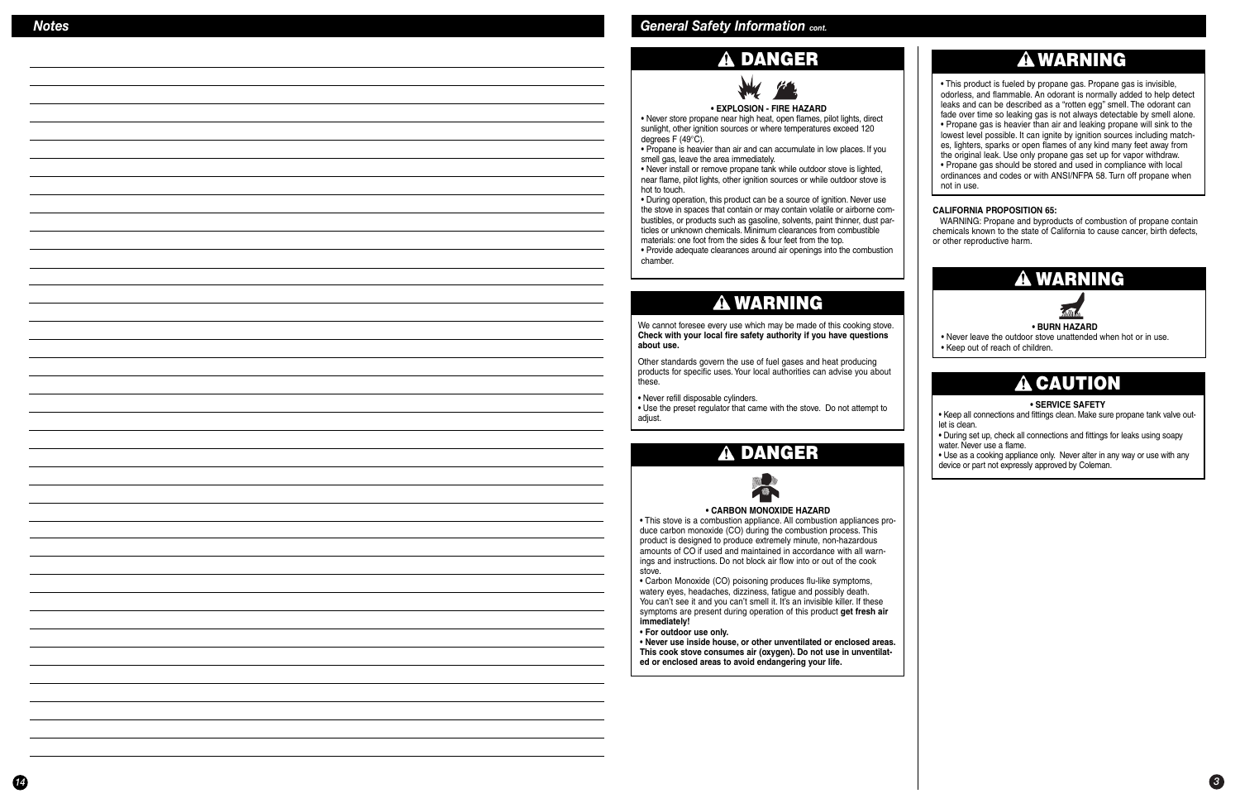### **DANGER**



#### **• EXPLOSION - FIRE HAZARD**

 • Never store propane near high heat, open flames, pilot lights, direct sunlight, other ignition sources or where temperatures exceed 120 degrees F (49°C).

• Propane is heavier than air and can accumulate in low places. If you smell gas, leave the area immediately.

• Never install or remove propane tank while outdoor stove is lighted, near flame, pilot lights, other ignition sources or while outdoor stove is hot to touch.

• During operation, this product can be a source of ignition. Never use the stove in spaces that contain or may contain volatile or airborne combustibles, or products such as gasoline, solvents, paint thinner, dust particles or unknown chemicals. Minimum clearances from combustiblematerials: one foot from the sides & four feet from the top.

• Provide adequate clearances around air openings into the combustion chamber.

### **WARNING**

We cannot foresee every use which may be made of this cooking stove. **Check with your local fire safety authority if you have questions about use.**

Other standards govern the use of fuel gases and heat producing products for specific uses. Your local authorities can advise you about these.

• Never refill disposable cylinders.

• Use the preset regulator that came with the stove. Do not attempt to adjust.

#### **• CARBON MONOXIDE HAZARD**

 • This stove is a combustion appliance. All combustion appliances produce carbon monoxide (CO) during the combustion process. This product is designed to produce extremely minute, non-hazardous amounts of CO if used and maintained in accordance with all warnings and instructions. Do not block air flow into or out of the cook stove.

#### .<br>auda **• BURN HAZARD**

• Carbon Monoxide (CO) poisoning produces flu-like symptoms, watery eyes, headaches, dizziness, fatigue and possibly death. You can't see it and you can't smell it. It's an invisible killer. If these symptoms are present during operation of this product **get fresh air immediately!**

#### • **For outdoor use only.**

• **Never use inside house, or other unventilated or enclosed areas. This cook stove consumes air (oxygen). Do not use in unventilated or enclosed areas to avoid endangering your life.**

### **DANGER**



## **WARNING**

• This product is fueled by propane gas. Propane gas is invisible, odorless, and flammable. An odorant is normally added to help detect leaks and can be described as a "rotten egg" smell. The odorant can fade over time so leaking gas is not always detectable by smell alone. • Propane gas is heavier than air and leaking propane will sink to the lowest level possible. It can ignite by ignition sources including matches, lighters, sparks or open flames of any kind many feet away from the original leak. Use only propane gas set up for vapor withdraw. • Propane gas should be stored and used in compliance with local ordinances and codes or with ANSI/NFPA 58. Turn off propane when not in use.

#### **CALIFORNIA PROPOSITION 65:**

 WARNING: Propane and byproducts of combustion of propane contain chemicals known to the state of California to cause cancer, birth defects, or other reproductive harm.

- Never leave the outdoor stove unattended when hot or in use.
- Keep out of reach of children.



#### **• SERVICE SAFETY**

• Keep all connections and fittings clean. Make sure propane tank valve outlet is clean.

 • During set up, check all connections and fittings for leaks using soapy water. Never use a flame.

• Use as a cooking appliance only. Never alter in any way or use with any device or part not expressly approved by Coleman.

### **CAUTION**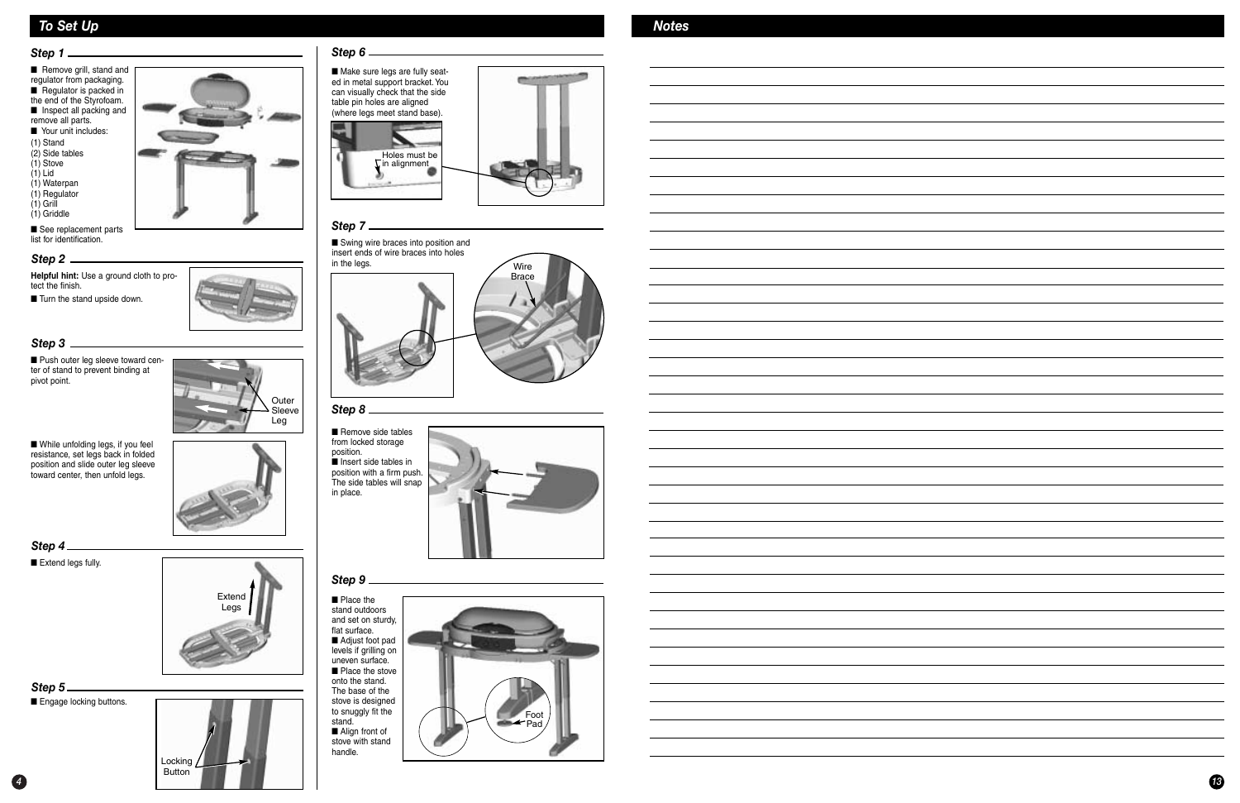

### *To Set Up*

■ Push outer leg sleeve toward center of stand to prevent binding at pivot point.

> ■ Place the stand outdoors and set on sturdy, flat surface.■ Adjust foot pad levels if grilling on uneven surface.■ Place the stove onto the stand. The base of the stove is designed to snuggly fit the stand.■ Align front of stove with standhandle.

■ Engage locking buttons. *Step 5*

■ See replacement parts list for identification.

> ■ Remove side tables from locked storage position. ■ Insert side tables in position with a firm push. The side tables will snap in place.



#### *Step 3*

#### *Step 1*

■ Remove grill, stand and regulator from packaging. ■ Regulator is packed in the end of the Styrofoam. ■ Inspect all packing and remove all parts. ■ Your unit includes:

*Step 4*

■ Extend legs fully.



- (1) Stand
- (2) Side tables (1) Stove
- (1) Lid
- (1) Waterpan
- (1) Regulator
- (1) Grill (1) Griddle
- 

#### *Step 6*



#### *Step 8*

#### *Step 9*



**Helpful hint:** Use a ground cloth to protect the finish.

■ Turn the stand upside down.

#### *Step 2*

■ While unfolding legs, if you feel resistance, set legs back in folded position and slide outer leg sleeve toward center, then unfold legs.

Outer





#### *Step 7*

■ Swing wire braces into position and insert ends of wire braces into holes in the legs.



#### *Notes*

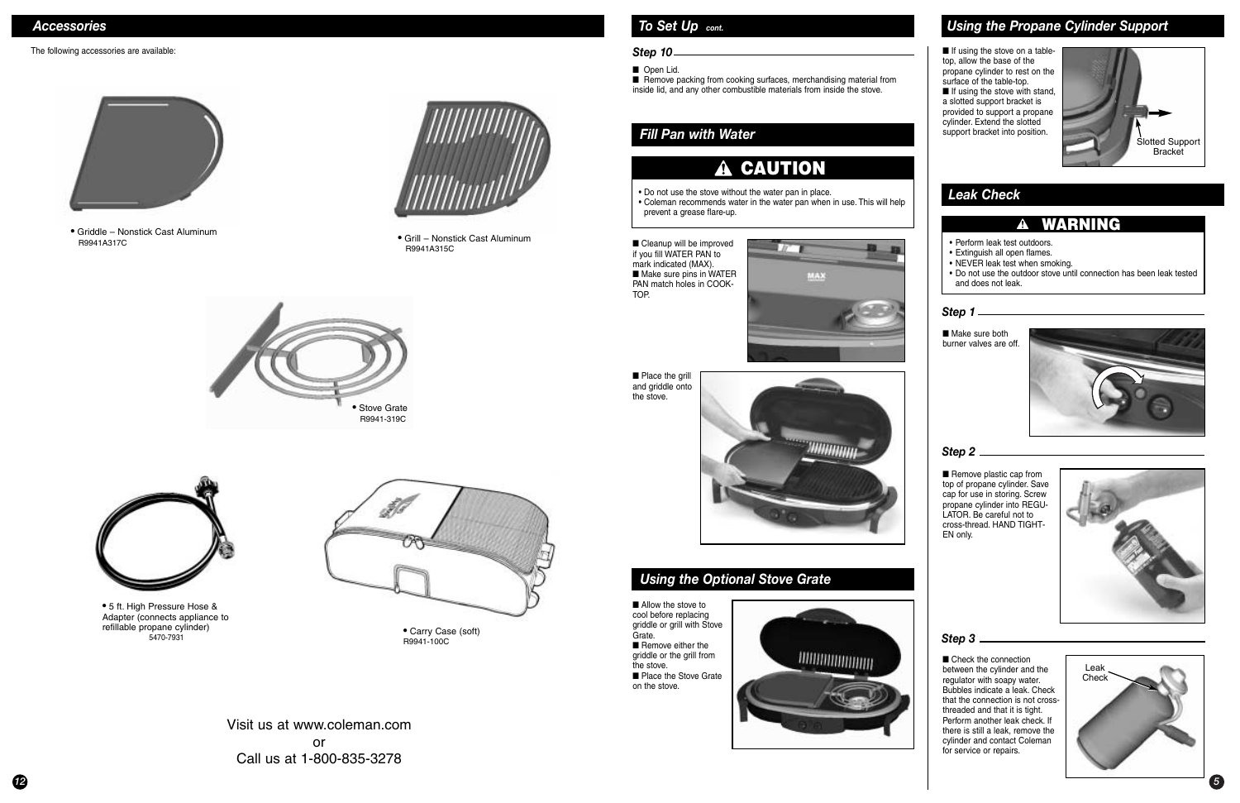### *Leak Check*

### **CAUTION**

- Do not use the stove without the water pan in place.
- Coleman recommends water in the water pan when in use. This will help prevent a grease flare-up.

### **WARNING**

- Perform leak test outdoors.
- Extinguish all open flames.
- NEVER leak test when smoking.
- Do not use the outdoor stove until connection has been leak tested and does not leak.

■ Check the connection between the cylinder and the regulator with soapy water. Bubbles indicate a leak. Check that the connection is not crossthreaded and that it is tight. Perform another leak check. If there is still a leak, remove the cylinder and contact Coleman for service or repairs.

■ If using the stove on a tabletop, allow the base of the propane cylinder to rest on the surface of the table-top. ■ If using the stove with stand, a slotted support bracket is provided to support a propane cylinder. Extend the slotted support bracket into position.

■ Cleanup will be improved if you fill WATER PAN to mark indicated (MAX). ■ Make sure pins in WATER PAN match holes in COOK-TOP.



■ Place the grill and griddle onto the stove.



■ Make sure both burner valves are off.



■ Remove packing from cooking surfaces, merchandising material from inside lid, and any other combustible materials from inside the stove.

■ Allow the stove to cool before replacing griddle or grill with Stove Grate.■ Remove either the griddle or the grill from the stove.■ Place the Stove Grate on the stove.





#### *Fill Pan with Water*



#### *Step 1*

■ Remove plastic cap from top of propane cylinder. Save cap for use in storing. Screw propane cylinder into REGU-LATOR. Be careful not to cross-thread. HAND TIGHT-EN only.



#### *Step 2*

### *To Set Up cont.*

#### *Step 10*

■ Open Lid.

### *Using the Optional Stove Grate*

### *Using the Propane Cylinder Support*

#### *Step 3*

#### *Accessories*

#### The following accessories are available:



• Grill – Nonstick Cast Aluminum R9941A315C

• Griddle – Nonstick Cast Aluminum R9941A317C



• Carry Case (soft) R9941-100C





• 5 ft. High Pressure Hose & Adapter (connects appliance to refillable propane cylinder) 5470-7931



Visit us at www.coleman.comorCall us at 1-800-835-3278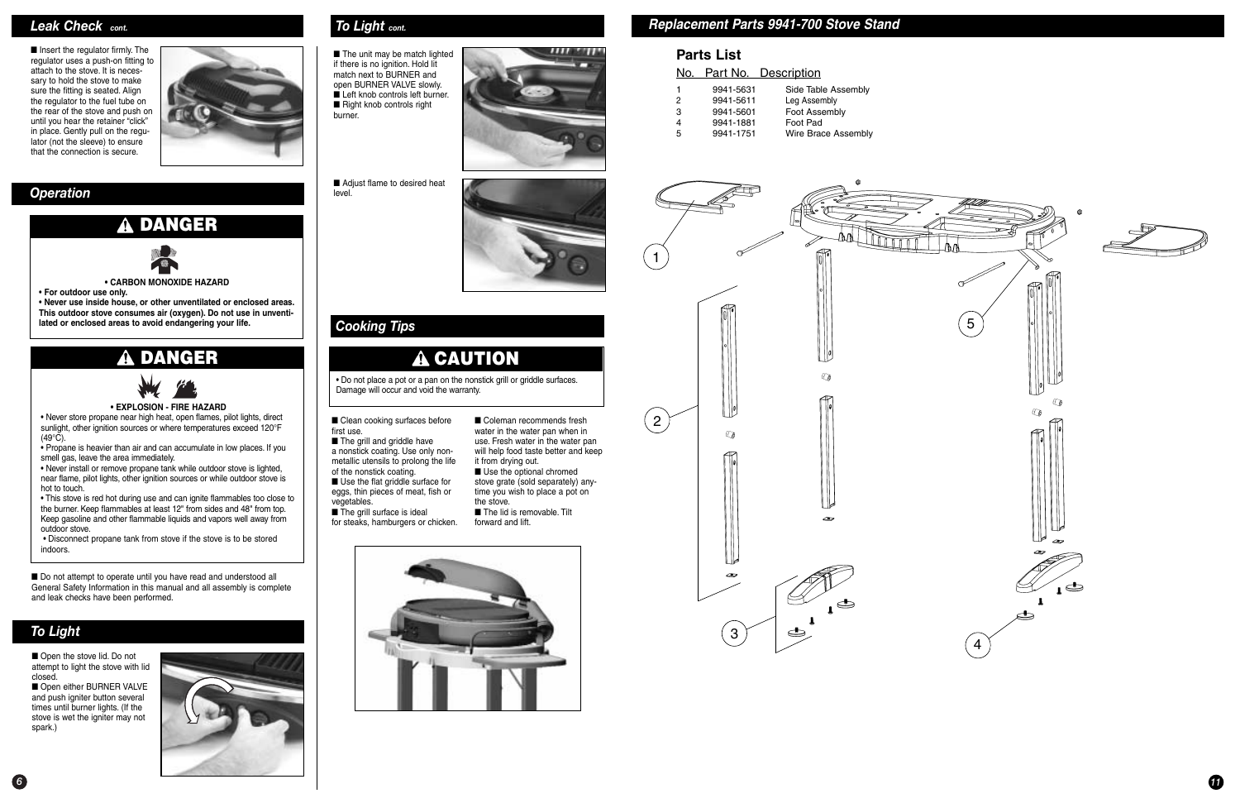### *To Light*

■ Open the stove lid. Do not attempt to light the stove with lid closed.

■ Open either BURNER VALVE and push igniter button several times until burner lights. (If the stove is wet the igniter may not spark.)



■ The unit may be match lighted if there is no ignition. Hold lit match next to BURNER and open BURNER VALVE slowly. ■ Left knob controls left burner. ■ Right knob controls right burner.

■ Adjust flame to desired heat level.



■ Clean cooking surfaces before first use.

■ The grill and griddle have a nonstick coating. Use only nonmetallic utensils to prolong the life

■ The grill surface is ideal for steaks, hamburgers or chicken.

### *Cooking Tips*

## **CAUTION**

■ Coleman recommends fresh water in the water pan when in use. Fresh water in the water pan will help food taste better and keep it from drying out.

• Do not place a pot or a pan on the nonstick grill or griddle surfaces. Damage will occur and void the warranty.

> ■ Use the optional chromed stove grate (sold separately) anytime you wish to place a pot on the stove.

■ The lid is removable. Tilt forward and lift.



of the nonstick coating. ■ Use the flat griddle surface for eggs, thin pieces of meat, fish or vegetables.

■ Insert the regulator firmly. The regulator uses a push-on fitting to attach to the stove. It is necessary to hold the stove to make sure the fitting is seated. Align the regulator to the fuel tube on the rear of the stove and push on until you hear the retainer "click" in place. Gently pull on the regulator (not the sleeve) to ensure that the connection is secure.

 • Never store propane near high heat, open flames, pilot lights, direct sunlight, other ignition sources or where temperatures exceed 120°F  $(49^{\circ}$ C).

■ Do not attempt to operate until you have read and understood all General Safety Information in this manual and all assembly is complete and leak checks have been performed.



**• CARBON MONOXIDE HAZARD**

• **For outdoor use only.**

• **Never use inside house, or other unventilated or enclosed areas. This outdoor stove consumes air (oxygen). Do not use in unventilated or enclosed areas to avoid endangering your life.**

### **DANGER**



## **DANGER**



#### **• EXPLOSION - FIRE HAZARD**

• Propane is heavier than air and can accumulate in low places. If you smell gas, leave the area immediately.

• Never install or remove propane tank while outdoor stove is lighted, near flame, pilot lights, other ignition sources or while outdoor stove is hot to touch.

 • This stove is red hot during use and can ignite flammables too close to the burner. Keep flammables at least 12" from sides and 48" from top. Keep gasoline and other flammable liquids and vapors well away from outdoor stove.

• Disconnect propane tank from stove if the stove is to be stored indoors.

#### *Leak Check cont.*

#### *ToLight cont.*

*11*

### **Parts List**

#### No. Part No. Description

| $\mathbf{1}$ | 9941-5631 | Side Table Assembly |
|--------------|-----------|---------------------|
| 2            | 9941-5611 | Leg Assembly        |
| 3            | 9941-5601 | Foot Assembly       |
| 4            | 9941-1881 | Foot Pad            |
| 5            | 9941-1751 | Wire Brace Assembly |

### *Replacement Parts 9941-700 Stove Stand*





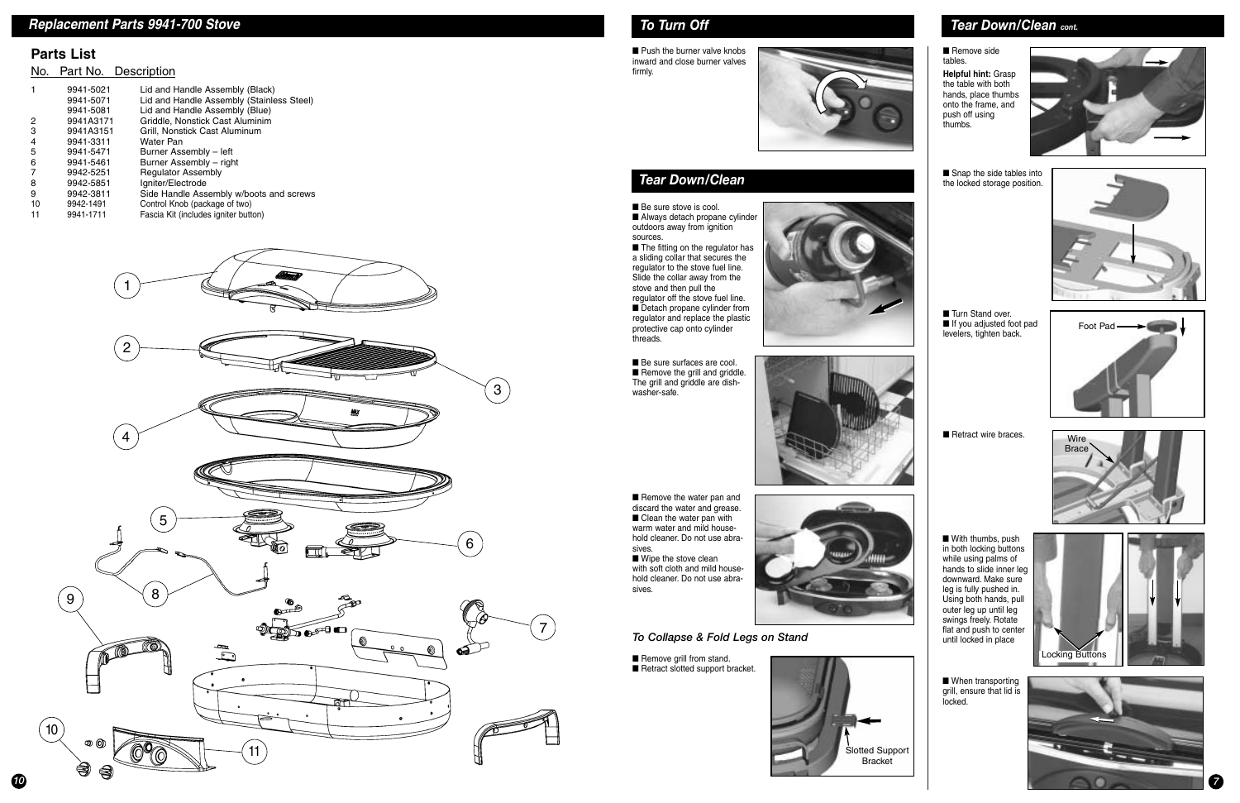### *To Turn Off*

■ Push the burner valve knobs inward and close burner valves firmly.



### *Tear Down/Clean*

■ Be sure stove is cool. ■ Always detach propane cylinder outdoors away from ignition sources.

■ The fitting on the regulator has a sliding collar that secures the regulator to the stove fuel line. Slide the collar away from the stove and then pull the regulator off the stove fuel line. ■ Detach propane cylinder from regulator and replace the plastic protective cap onto cylinder threads.

■ Be sure surfaces are cool. ■ Remove the grill and griddle. The grill and griddle are dishwasher-safe.





■ Remove the water pan and discard the water and grease. ■ Clean the water pan with warm water and mild household cleaner. Do not use abrasives.

■ Wipe the stove clean with soft cloth and mild household cleaner. Do not use abrasives.



■ Remove side tables.

■ Snap the side tables into the locked storage position.



■ Turn Stand over. ■ If you adjusted foot pad levelers, tighten back.

■ With thumbs, push in both locking buttons while using palms of hands to slide inner leg downward. Make sure leg is fully pushed in. Using both hands, pull outer leg up until leg swings freely. Rotate flat and push to center until locked in place

■ When transporting grill, ensure that lid is locked.

*7*



*To Collapse & Fold Legs on Stand*

■ Remove grill from stand. ■ Retract slotted support bracket.



**Helpful hint:** Grasp the table with both hands, place thumbs onto the frame, and push off using thumbs.



### *Tear Down/Clean cont.*



■ Retract wire braces.







*10*

### *Replacement Parts 9941-700 Stove*

#### **Parts List**

#### No. Part No. Description



|    | 9941-5021<br>9941-5071<br>9941-5081 | Lid and Handle Assembly (Black)<br>Lid and Handle Assembly (Stainless Steel)<br>Lid and Handle Assembly (Blue) |
|----|-------------------------------------|----------------------------------------------------------------------------------------------------------------|
| 2  | 9941A3171                           | Griddle, Nonstick Cast Aluminim                                                                                |
| 3  | 9941A3151                           | Grill, Nonstick Cast Aluminum                                                                                  |
| 4  | 9941-3311                           | Water Pan                                                                                                      |
| 5  | 9941-5471                           | Burner Assembly - left                                                                                         |
| 6  | 9941-5461                           | Burner Assembly - right                                                                                        |
|    | 9942-5251                           | <b>Regulator Assembly</b>                                                                                      |
| 8  | 9942-5851                           | Igniter/Electrode                                                                                              |
| 9  | 9942-3811                           | Side Handle Assembly w/boots and screws                                                                        |
| 10 | 9942-1491                           | Control Knob (package of two)                                                                                  |
| 11 | 9941-1711                           | Fascia Kit (includes igniter button)                                                                           |